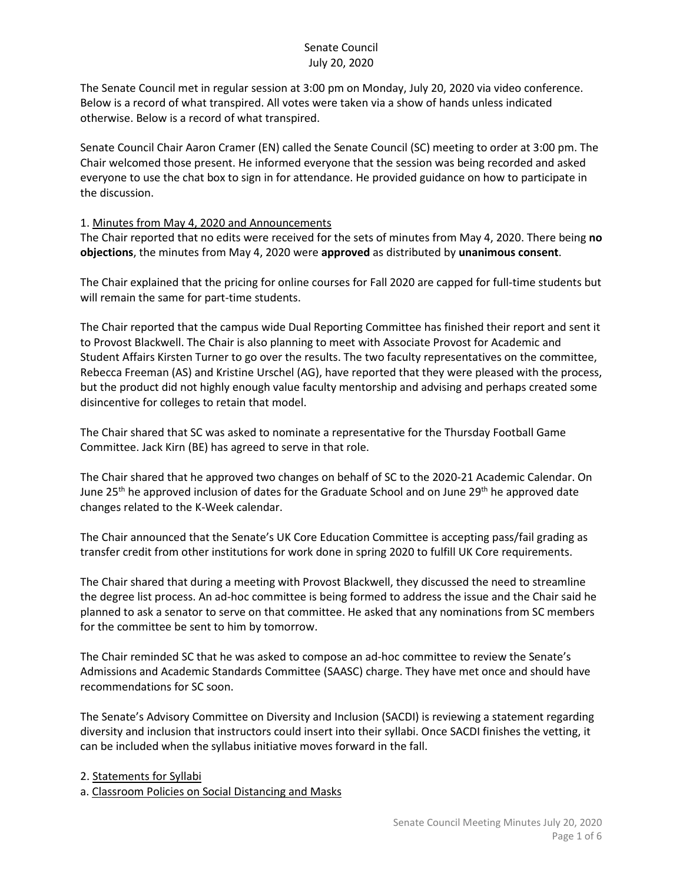The Senate Council met in regular session at 3:00 pm on Monday, July 20, 2020 via video conference. Below is a record of what transpired. All votes were taken via a show of hands unless indicated otherwise. Below is a record of what transpired.

Senate Council Chair Aaron Cramer (EN) called the Senate Council (SC) meeting to order at 3:00 pm. The Chair welcomed those present. He informed everyone that the session was being recorded and asked everyone to use the chat box to sign in for attendance. He provided guidance on how to participate in the discussion.

#### 1. Minutes from May 4, 2020 and Announcements

The Chair reported that no edits were received for the sets of minutes from May 4, 2020. There being **no objections**, the minutes from May 4, 2020 were **approved** as distributed by **unanimous consent**.

The Chair explained that the pricing for online courses for Fall 2020 are capped for full-time students but will remain the same for part-time students.

The Chair reported that the campus wide Dual Reporting Committee has finished their report and sent it to Provost Blackwell. The Chair is also planning to meet with Associate Provost for Academic and Student Affairs Kirsten Turner to go over the results. The two faculty representatives on the committee, Rebecca Freeman (AS) and Kristine Urschel (AG), have reported that they were pleased with the process, but the product did not highly enough value faculty mentorship and advising and perhaps created some disincentive for colleges to retain that model.

The Chair shared that SC was asked to nominate a representative for the Thursday Football Game Committee. Jack Kirn (BE) has agreed to serve in that role.

The Chair shared that he approved two changes on behalf of SC to the 2020-21 Academic Calendar. On June 25<sup>th</sup> he approved inclusion of dates for the Graduate School and on June 29<sup>th</sup> he approved date changes related to the K-Week calendar.

The Chair announced that the Senate's UK Core Education Committee is accepting pass/fail grading as transfer credit from other institutions for work done in spring 2020 to fulfill UK Core requirements.

The Chair shared that during a meeting with Provost Blackwell, they discussed the need to streamline the degree list process. An ad-hoc committee is being formed to address the issue and the Chair said he planned to ask a senator to serve on that committee. He asked that any nominations from SC members for the committee be sent to him by tomorrow.

The Chair reminded SC that he was asked to compose an ad-hoc committee to review the Senate's Admissions and Academic Standards Committee (SAASC) charge. They have met once and should have recommendations for SC soon.

The Senate's Advisory Committee on Diversity and Inclusion (SACDI) is reviewing a statement regarding diversity and inclusion that instructors could insert into their syllabi. Once SACDI finishes the vetting, it can be included when the syllabus initiative moves forward in the fall.

2. Statements for Syllabi

a. Classroom Policies on Social Distancing and Masks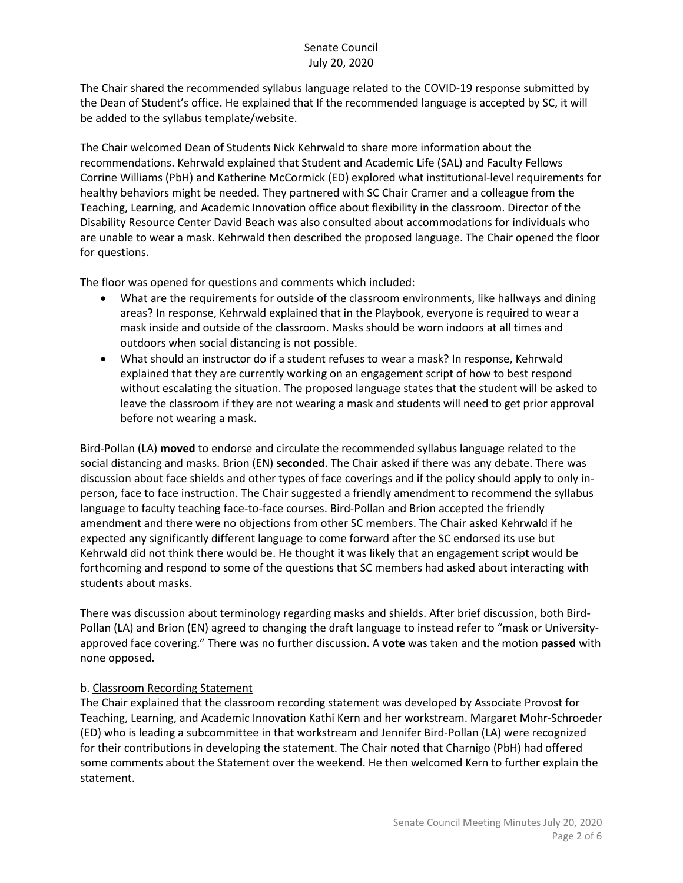The Chair shared the recommended syllabus language related to the COVID-19 response submitted by the Dean of Student's office. He explained that If the recommended language is accepted by SC, it will be added to the syllabus template/website.

The Chair welcomed Dean of Students Nick Kehrwald to share more information about the recommendations. Kehrwald explained that Student and Academic Life (SAL) and Faculty Fellows Corrine Williams (PbH) and Katherine McCormick (ED) explored what institutional-level requirements for healthy behaviors might be needed. They partnered with SC Chair Cramer and a colleague from the Teaching, Learning, and Academic Innovation office about flexibility in the classroom. Director of the Disability Resource Center David Beach was also consulted about accommodations for individuals who are unable to wear a mask. Kehrwald then described the proposed language. The Chair opened the floor for questions.

The floor was opened for questions and comments which included:

- What are the requirements for outside of the classroom environments, like hallways and dining areas? In response, Kehrwald explained that in the Playbook, everyone is required to wear a mask inside and outside of the classroom. Masks should be worn indoors at all times and outdoors when social distancing is not possible.
- What should an instructor do if a student refuses to wear a mask? In response, Kehrwald explained that they are currently working on an engagement script of how to best respond without escalating the situation. The proposed language states that the student will be asked to leave the classroom if they are not wearing a mask and students will need to get prior approval before not wearing a mask.

Bird-Pollan (LA) **moved** to endorse and circulate the recommended syllabus language related to the social distancing and masks. Brion (EN) **seconded**. The Chair asked if there was any debate. There was discussion about face shields and other types of face coverings and if the policy should apply to only inperson, face to face instruction. The Chair suggested a friendly amendment to recommend the syllabus language to faculty teaching face-to-face courses. Bird-Pollan and Brion accepted the friendly amendment and there were no objections from other SC members. The Chair asked Kehrwald if he expected any significantly different language to come forward after the SC endorsed its use but Kehrwald did not think there would be. He thought it was likely that an engagement script would be forthcoming and respond to some of the questions that SC members had asked about interacting with students about masks.

There was discussion about terminology regarding masks and shields. After brief discussion, both Bird-Pollan (LA) and Brion (EN) agreed to changing the draft language to instead refer to "mask or Universityapproved face covering." There was no further discussion. A **vote** was taken and the motion **passed** with none opposed.

## b. Classroom Recording Statement

The Chair explained that the classroom recording statement was developed by Associate Provost for Teaching, Learning, and Academic Innovation Kathi Kern and her workstream. Margaret Mohr-Schroeder (ED) who is leading a subcommittee in that workstream and Jennifer Bird-Pollan (LA) were recognized for their contributions in developing the statement. The Chair noted that Charnigo (PbH) had offered some comments about the Statement over the weekend. He then welcomed Kern to further explain the statement.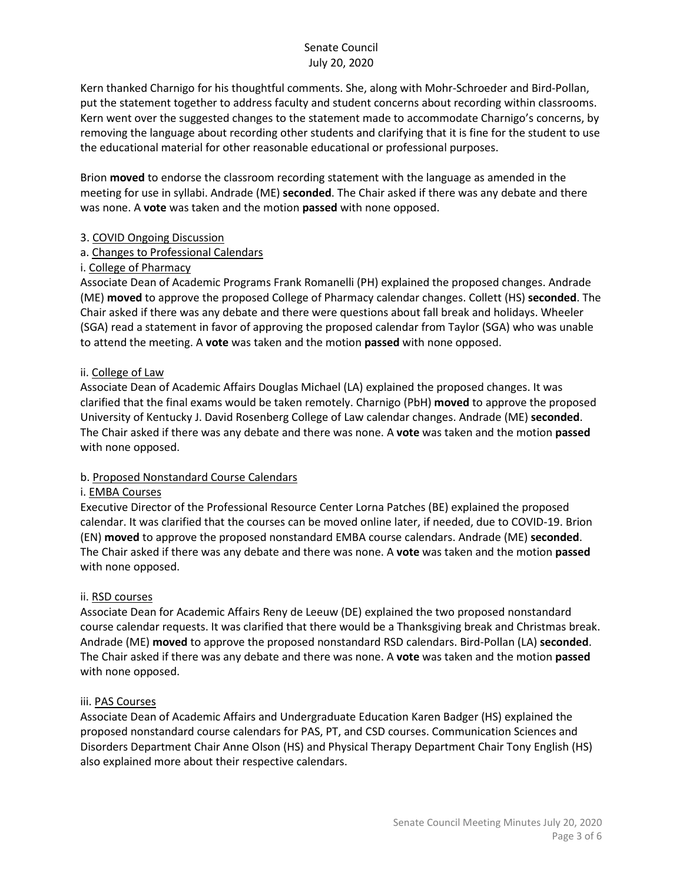Kern thanked Charnigo for his thoughtful comments. She, along with Mohr-Schroeder and Bird-Pollan, put the statement together to address faculty and student concerns about recording within classrooms. Kern went over the suggested changes to the statement made to accommodate Charnigo's concerns, by removing the language about recording other students and clarifying that it is fine for the student to use the educational material for other reasonable educational or professional purposes.

Brion **moved** to endorse the classroom recording statement with the language as amended in the meeting for use in syllabi. Andrade (ME) **seconded**. The Chair asked if there was any debate and there was none. A **vote** was taken and the motion **passed** with none opposed.

#### 3. COVID Ongoing Discussion

## a. Changes to Professional Calendars

## i. College of Pharmacy

Associate Dean of Academic Programs Frank Romanelli (PH) explained the proposed changes. Andrade (ME) **moved** to approve the proposed College of Pharmacy calendar changes. Collett (HS) **seconded**. The Chair asked if there was any debate and there were questions about fall break and holidays. Wheeler (SGA) read a statement in favor of approving the proposed calendar from Taylor (SGA) who was unable to attend the meeting. A **vote** was taken and the motion **passed** with none opposed.

## ii. College of Law

Associate Dean of Academic Affairs Douglas Michael (LA) explained the proposed changes. It was clarified that the final exams would be taken remotely. Charnigo (PbH) **moved** to approve the proposed University of Kentucky J. David Rosenberg College of Law calendar changes. Andrade (ME) **seconded**. The Chair asked if there was any debate and there was none. A **vote** was taken and the motion **passed** with none opposed.

#### b. Proposed Nonstandard Course Calendars

#### i. EMBA Courses

Executive Director of the Professional Resource Center Lorna Patches (BE) explained the proposed calendar. It was clarified that the courses can be moved online later, if needed, due to COVID-19. Brion (EN) **moved** to approve the proposed nonstandard EMBA course calendars. Andrade (ME) **seconded**. The Chair asked if there was any debate and there was none. A **vote** was taken and the motion **passed** with none opposed.

#### ii. RSD courses

Associate Dean for Academic Affairs Reny de Leeuw (DE) explained the two proposed nonstandard course calendar requests. It was clarified that there would be a Thanksgiving break and Christmas break. Andrade (ME) **moved** to approve the proposed nonstandard RSD calendars. Bird-Pollan (LA) **seconded**. The Chair asked if there was any debate and there was none. A **vote** was taken and the motion **passed** with none opposed.

#### iii. PAS Courses

Associate Dean of Academic Affairs and Undergraduate Education Karen Badger (HS) explained the proposed nonstandard course calendars for PAS, PT, and CSD courses. Communication Sciences and Disorders Department Chair Anne Olson (HS) and Physical Therapy Department Chair Tony English (HS) also explained more about their respective calendars.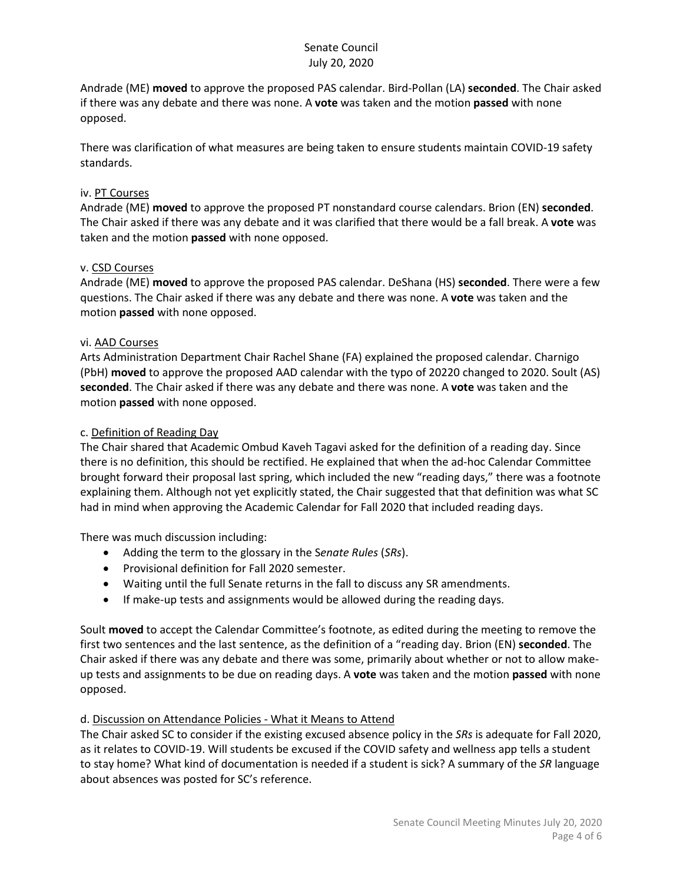Andrade (ME) **moved** to approve the proposed PAS calendar. Bird-Pollan (LA) **seconded**. The Chair asked if there was any debate and there was none. A **vote** was taken and the motion **passed** with none opposed.

There was clarification of what measures are being taken to ensure students maintain COVID-19 safety standards.

#### iv. PT Courses

Andrade (ME) **moved** to approve the proposed PT nonstandard course calendars. Brion (EN) **seconded**. The Chair asked if there was any debate and it was clarified that there would be a fall break. A **vote** was taken and the motion **passed** with none opposed.

## v. CSD Courses

Andrade (ME) **moved** to approve the proposed PAS calendar. DeShana (HS) **seconded**. There were a few questions. The Chair asked if there was any debate and there was none. A **vote** was taken and the motion **passed** with none opposed.

## vi. AAD Courses

Arts Administration Department Chair Rachel Shane (FA) explained the proposed calendar. Charnigo (PbH) **moved** to approve the proposed AAD calendar with the typo of 20220 changed to 2020. Soult (AS) **seconded**. The Chair asked if there was any debate and there was none. A **vote** was taken and the motion **passed** with none opposed.

## c. Definition of Reading Day

The Chair shared that Academic Ombud Kaveh Tagavi asked for the definition of a reading day. Since there is no definition, this should be rectified. He explained that when the ad-hoc Calendar Committee brought forward their proposal last spring, which included the new "reading days," there was a footnote explaining them. Although not yet explicitly stated, the Chair suggested that that definition was what SC had in mind when approving the Academic Calendar for Fall 2020 that included reading days.

There was much discussion including:

- Adding the term to the glossary in the S*enate Rules* (*SRs*).
- Provisional definition for Fall 2020 semester.
- Waiting until the full Senate returns in the fall to discuss any SR amendments.
- If make-up tests and assignments would be allowed during the reading days.

Soult **moved** to accept the Calendar Committee's footnote, as edited during the meeting to remove the first two sentences and the last sentence, as the definition of a "reading day. Brion (EN) **seconded**. The Chair asked if there was any debate and there was some, primarily about whether or not to allow makeup tests and assignments to be due on reading days. A **vote** was taken and the motion **passed** with none opposed.

## d. Discussion on Attendance Policies - What it Means to Attend

The Chair asked SC to consider if the existing excused absence policy in the *SRs* is adequate for Fall 2020, as it relates to COVID-19. Will students be excused if the COVID safety and wellness app tells a student to stay home? What kind of documentation is needed if a student is sick? A summary of the *SR* language about absences was posted for SC's reference.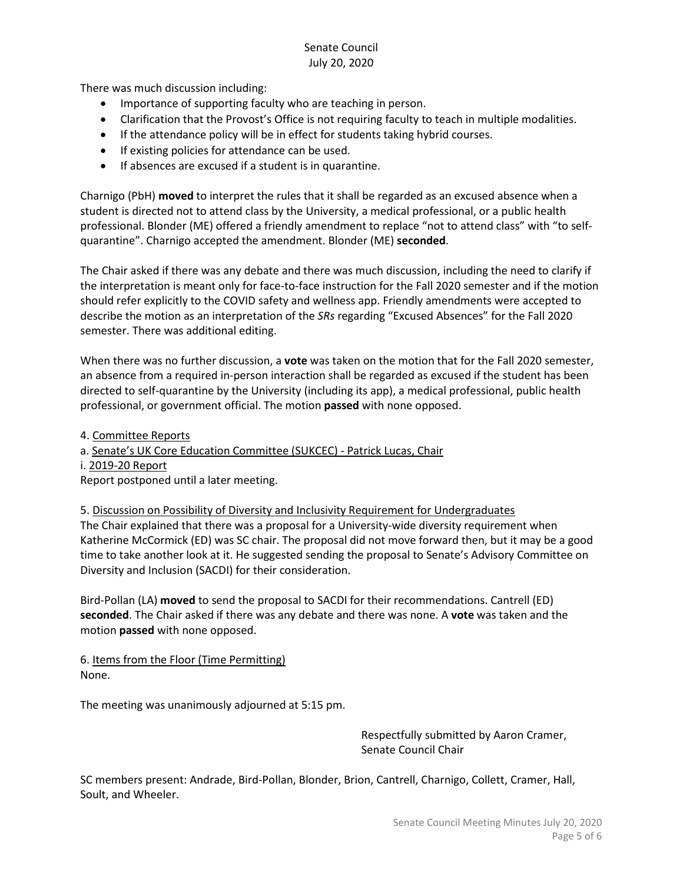There was much discussion including:

- Importance of supporting faculty who are teaching in person.
- Clarification that the Provost's Office is not requiring faculty to teach in multiple modalities.
- If the attendance policy will be in effect for students taking hybrid courses.
- If existing policies for attendance can be used.
- If absences are excused if a student is in quarantine.

Charnigo (PbH) **moved** to interpret the rules that it shall be regarded as an excused absence when a student is directed not to attend class by the University, a medical professional, or a public health professional. Blonder (ME) offered a friendly amendment to replace "not to attend class" with "to selfquarantine". Charnigo accepted the amendment. Blonder (ME) **seconded**.

The Chair asked if there was any debate and there was much discussion, including the need to clarify if the interpretation is meant only for face-to-face instruction for the Fall 2020 semester and if the motion should refer explicitly to the COVID safety and wellness app. Friendly amendments were accepted to describe the motion as an interpretation of the *SRs* regarding "Excused Absences" for the Fall 2020 semester. There was additional editing.

When there was no further discussion, a **vote** was taken on the motion that for the Fall 2020 semester, an absence from a required in-person interaction shall be regarded as excused if the student has been directed to self-quarantine by the University (including its app), a medical professional, public health professional, or government official. The motion **passed** with none opposed.

4. Committee Reports

a. Senate's UK Core Education Committee (SUKCEC) - Patrick Lucas, Chair

i. 2019-20 Report

Report postponed until a later meeting.

5. Discussion on Possibility of Diversity and Inclusivity Requirement for Undergraduates

The Chair explained that there was a proposal for a University-wide diversity requirement when Katherine McCormick (ED) was SC chair. The proposal did not move forward then, but it may be a good time to take another look at it. He suggested sending the proposal to Senate's Advisory Committee on Diversity and Inclusion (SACDI) for their consideration.

Bird-Pollan (LA) **moved** to send the proposal to SACDI for their recommendations. Cantrell (ED) **seconded**. The Chair asked if there was any debate and there was none. A **vote** was taken and the motion **passed** with none opposed.

6. Items from the Floor (Time Permitting) None.

The meeting was unanimously adjourned at 5:15 pm.

Respectfully submitted by Aaron Cramer, Senate Council Chair

SC members present: Andrade, Bird-Pollan, Blonder, Brion, Cantrell, Charnigo, Collett, Cramer, Hall, Soult, and Wheeler.